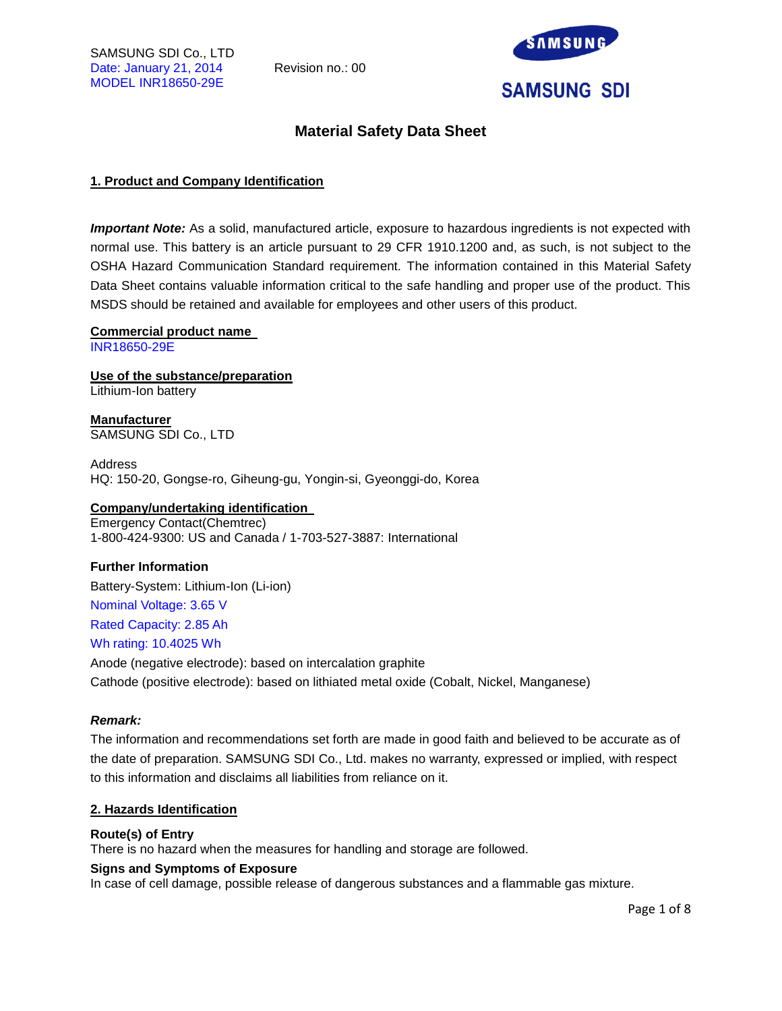

## **Material Safety Data Sheet**

## **1. Product and Company Identification**

*Important Note:* As a solid, manufactured article, exposure to hazardous ingredients is not expected with normal use. This battery is an article pursuant to 29 CFR 1910.1200 and, as such, is not subject to the OSHA Hazard Communication Standard requirement. The information contained in this Material Safety Data Sheet contains valuable information critical to the safe handling and proper use of the product. This MSDS should be retained and available for employees and other users of this product.

#### **Commercial product name**

INR18650-29E

**Use of the substance/preparation** Lithium-Ion battery

**Manufacturer** SAMSUNG SDI Co., LTD

Address HQ: 150-20, Gongse-ro, Giheung-gu, Yongin-si, Gyeonggi-do, Korea

## **Company/undertaking identification**

Emergency Contact(Chemtrec) 1-800-424-9300: US and Canada / 1-703-527-3887: International

#### **Further Information**

Battery-System: Lithium-Ion (Li-ion) Nominal Voltage: 3.65 V Rated Capacity: 2.85 Ah Wh rating: 10.4025 Wh

Anode (negative electrode): based on intercalation graphite Cathode (positive electrode): based on lithiated metal oxide (Cobalt, Nickel, Manganese)

#### *Remark:*

The information and recommendations set forth are made in good faith and believed to be accurate as of the date of preparation. SAMSUNG SDI Co., Ltd. makes no warranty, expressed or implied, with respect to this information and disclaims all liabilities from reliance on it.

#### **2. Hazards Identification**

#### **Route(s) of Entry**

There is no hazard when the measures for handling and storage are followed.

#### **Signs and Symptoms of Exposure**

In case of cell damage, possible release of dangerous substances and a flammable gas mixture.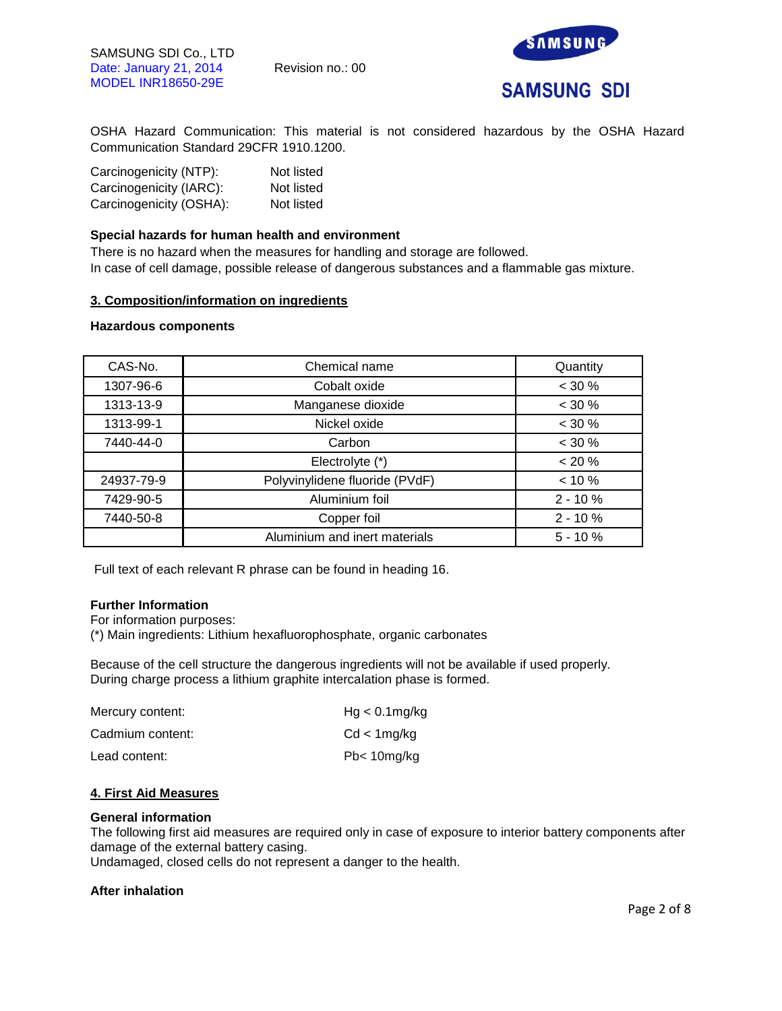

OSHA Hazard Communication: This material is not considered hazardous by the OSHA Hazard Communication Standard 29CFR 1910.1200.

| Carcinogenicity (NTP):  | Not listed |
|-------------------------|------------|
| Carcinogenicity (IARC): | Not listed |
| Carcinogenicity (OSHA): | Not listed |

#### **Special hazards for human health and environment**

There is no hazard when the measures for handling and storage are followed. In case of cell damage, possible release of dangerous substances and a flammable gas mixture.

#### **3. Composition/information on ingredients**

#### **Hazardous components**

| CAS-No.    | Chemical name                  | Quantity  |
|------------|--------------------------------|-----------|
| 1307-96-6  | Cobalt oxide                   | $< 30 \%$ |
| 1313-13-9  | Manganese dioxide              | $< 30 \%$ |
| 1313-99-1  | Nickel oxide                   | $< 30 \%$ |
| 7440-44-0  | Carbon                         | $< 30 \%$ |
|            | Electrolyte (*)                | < 20 %    |
| 24937-79-9 | Polyvinylidene fluoride (PVdF) | $< 10 \%$ |
| 7429-90-5  | Aluminium foil                 | $2 - 10%$ |
| 7440-50-8  | Copper foil                    | $2 - 10%$ |
|            | Aluminium and inert materials  | $5 - 10%$ |

Full text of each relevant R phrase can be found in heading 16.

## **Further Information**

For information purposes:

(\*) Main ingredients: Lithium hexafluorophosphate, organic carbonates

Because of the cell structure the dangerous ingredients will not be available if used properly. During charge process a lithium graphite intercalation phase is formed.

| Mercury content: | $Hg < 0.1$ mg/kg       |
|------------------|------------------------|
| Cadmium content: | Cd < 1mg/kg            |
| Lead content:    | Pb <sub>10</sub> mg/kg |

## **4. First Aid Measures**

#### **General information**

The following first aid measures are required only in case of exposure to interior battery components after damage of the external battery casing.

Undamaged, closed cells do not represent a danger to the health.

#### **After inhalation**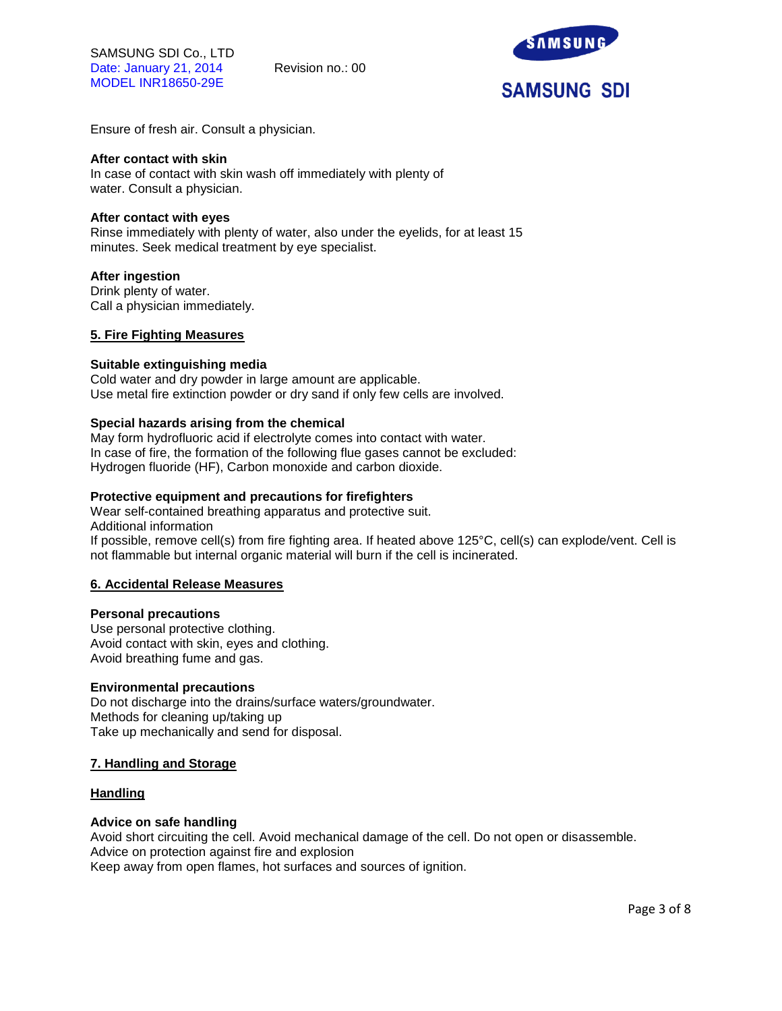SAMSUNG SDI Co., LTD Date: January 21, 2014 Revision no.: 00 MODEL INR18650-29E



Ensure of fresh air. Consult a physician.

#### **After contact with skin**

In case of contact with skin wash off immediately with plenty of water. Consult a physician.

#### **After contact with eyes**

Rinse immediately with plenty of water, also under the eyelids, for at least 15 minutes. Seek medical treatment by eye specialist.

#### **After ingestion**

Drink plenty of water. Call a physician immediately.

#### **5. Fire Fighting Measures**

#### **Suitable extinguishing media**

Cold water and dry powder in large amount are applicable. Use metal fire extinction powder or dry sand if only few cells are involved.

#### **Special hazards arising from the chemical**

May form hydrofluoric acid if electrolyte comes into contact with water. In case of fire, the formation of the following flue gases cannot be excluded: Hydrogen fluoride (HF), Carbon monoxide and carbon dioxide.

#### **Protective equipment and precautions for firefighters**

Wear self-contained breathing apparatus and protective suit. Additional information If possible, remove cell(s) from fire fighting area. If heated above 125°C, cell(s) can explode/vent. Cell is not flammable but internal organic material will burn if the cell is incinerated.

#### **6. Accidental Release Measures**

#### **Personal precautions**

Use personal protective clothing. Avoid contact with skin, eyes and clothing. Avoid breathing fume and gas.

#### **Environmental precautions**

Do not discharge into the drains/surface waters/groundwater. Methods for cleaning up/taking up Take up mechanically and send for disposal.

#### **7. Handling and Storage**

#### **Handling**

### **Advice on safe handling**

Avoid short circuiting the cell. Avoid mechanical damage of the cell. Do not open or disassemble. Advice on protection against fire and explosion Keep away from open flames, hot surfaces and sources of ignition.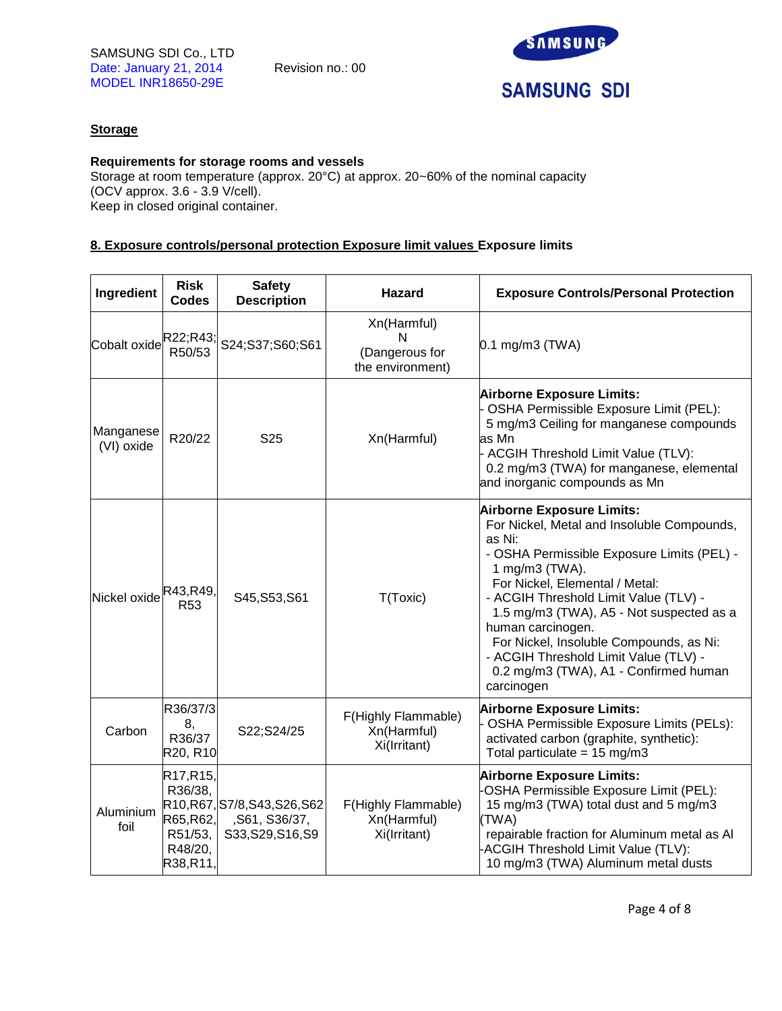

## **Storage**

## **Requirements for storage rooms and vessels**

Storage at room temperature (approx. 20°C) at approx. 20~60% of the nominal capacity (OCV approx. 3.6 - 3.9 V/cell). Keep in closed original container.

## **8. Exposure controls/personal protection Exposure limit values Exposure limits**

| Ingredient              | <b>Risk</b><br><b>Codes</b>                                        | <b>Safety</b><br><b>Description</b>                            | <b>Hazard</b>                                          | <b>Exposure Controls/Personal Protection</b>                                                                                                                                                                                                                                                                                                                                                                                                    |
|-------------------------|--------------------------------------------------------------------|----------------------------------------------------------------|--------------------------------------------------------|-------------------------------------------------------------------------------------------------------------------------------------------------------------------------------------------------------------------------------------------------------------------------------------------------------------------------------------------------------------------------------------------------------------------------------------------------|
| Cobalt oxide            | R22;R43;<br>R50/53                                                 | S24;S37;S60;S61                                                | Xn(Harmful)<br>N<br>(Dangerous for<br>the environment) | $0.1$ mg/m3 (TWA)                                                                                                                                                                                                                                                                                                                                                                                                                               |
| Manganese<br>(VI) oxide | R20/22                                                             | S <sub>25</sub>                                                | Xn(Harmful)                                            | <b>Airborne Exposure Limits:</b><br>OSHA Permissible Exposure Limit (PEL):<br>5 mg/m3 Ceiling for manganese compounds<br>as Mn<br>ACGIH Threshold Limit Value (TLV):<br>0.2 mg/m3 (TWA) for manganese, elemental<br>and inorganic compounds as Mn                                                                                                                                                                                               |
| Nickel oxide            | R43,R49,<br>R <sub>53</sub>                                        | S45, S53, S61                                                  | T(Toxic)                                               | <b>Airborne Exposure Limits:</b><br>For Nickel, Metal and Insoluble Compounds,<br>as Ni:<br>- OSHA Permissible Exposure Limits (PEL) -<br>1 mg/m3 (TWA).<br>For Nickel, Elemental / Metal:<br>- ACGIH Threshold Limit Value (TLV) -<br>1.5 mg/m3 (TWA), A5 - Not suspected as a<br>human carcinogen.<br>For Nickel, Insoluble Compounds, as Ni:<br>- ACGIH Threshold Limit Value (TLV) -<br>0.2 mg/m3 (TWA), A1 - Confirmed human<br>carcinogen |
| Carbon                  | R36/37/3<br>8,<br>R36/37<br>R20, R10                               | S22;S24/25                                                     | F(Highly Flammable)<br>Xn(Harmful)<br>Xi(Irritant)     | <b>Airborne Exposure Limits:</b><br>OSHA Permissible Exposure Limits (PELs):<br>activated carbon (graphite, synthetic):<br>Total particulate = $15 \text{ mg/m}$ 3                                                                                                                                                                                                                                                                              |
| Aluminium<br>foil       | R17, R15,<br>R36/38,<br>R65,R62,<br>R51/53,<br>R48/20,<br>R38,R11, | R10,R67,S7/8,S43,S26,S62<br>,S61, S36/37,<br>S33, S29, S16, S9 | F(Highly Flammable)<br>Xn(Harmful)<br>Xi(Irritant)     | <b>Airborne Exposure Limits:</b><br>OSHA Permissible Exposure Limit (PEL):<br>15 mg/m3 (TWA) total dust and 5 mg/m3<br>(TWA)<br>repairable fraction for Aluminum metal as Al<br>ACGIH Threshold Limit Value (TLV):<br>10 mg/m3 (TWA) Aluminum metal dusts                                                                                                                                                                                       |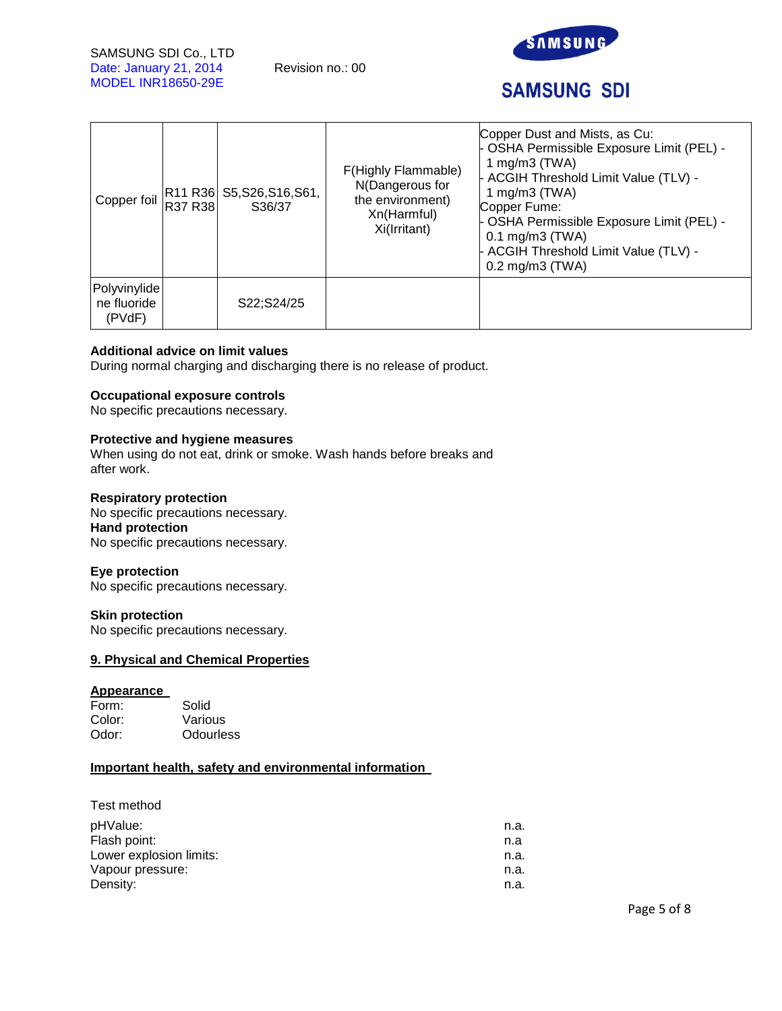

# **SAMSUNG SDI**

| Copper foil                           | R37 R38 | R11 R36 S5, S26, S16, S61,<br>S36/37 | F(Highly Flammable)<br>N(Dangerous for<br>the environment)<br>Xn(Harmful)<br>Xi(Irritant) | Copper Dust and Mists, as Cu:<br>- OSHA Permissible Exposure Limit (PEL) -<br>1 mg/m $3$ (TWA)<br>- ACGIH Threshold Limit Value (TLV) -<br>1 mg/m $3$ (TWA)<br>Copper Fume:<br>- OSHA Permissible Exposure Limit (PEL) -<br>$0.1 \text{ mg/m}$ 3 (TWA)<br>- ACGIH Threshold Limit Value (TLV) -<br>$0.2$ mg/m $3$ (TWA) |
|---------------------------------------|---------|--------------------------------------|-------------------------------------------------------------------------------------------|-------------------------------------------------------------------------------------------------------------------------------------------------------------------------------------------------------------------------------------------------------------------------------------------------------------------------|
| Polyvinylide<br>ne fluoride<br>(PVdF) |         | S22;S24/25                           |                                                                                           |                                                                                                                                                                                                                                                                                                                         |

## **Additional advice on limit values**

During normal charging and discharging there is no release of product.

## **Occupational exposure controls**

No specific precautions necessary.

## **Protective and hygiene measures**

When using do not eat, drink or smoke. Wash hands before breaks and after work.

#### **Respiratory protection**

No specific precautions necessary. **Hand protection**  No specific precautions necessary.

#### **Eye protection**

No specific precautions necessary.

#### **Skin protection**

No specific precautions necessary.

## **9. Physical and Chemical Properties**

#### **Appearance**

| Form:  | Solid            |
|--------|------------------|
| Color: | Various          |
| Odor:  | <b>Odourless</b> |

## **Important health, safety and environmental information**

| Test method |
|-------------|
|-------------|

| pHValue:                | n.a. |
|-------------------------|------|
| Flash point:            | n.a  |
| Lower explosion limits: | n.a. |
| Vapour pressure:        | n.a. |
| Density:                | n.a. |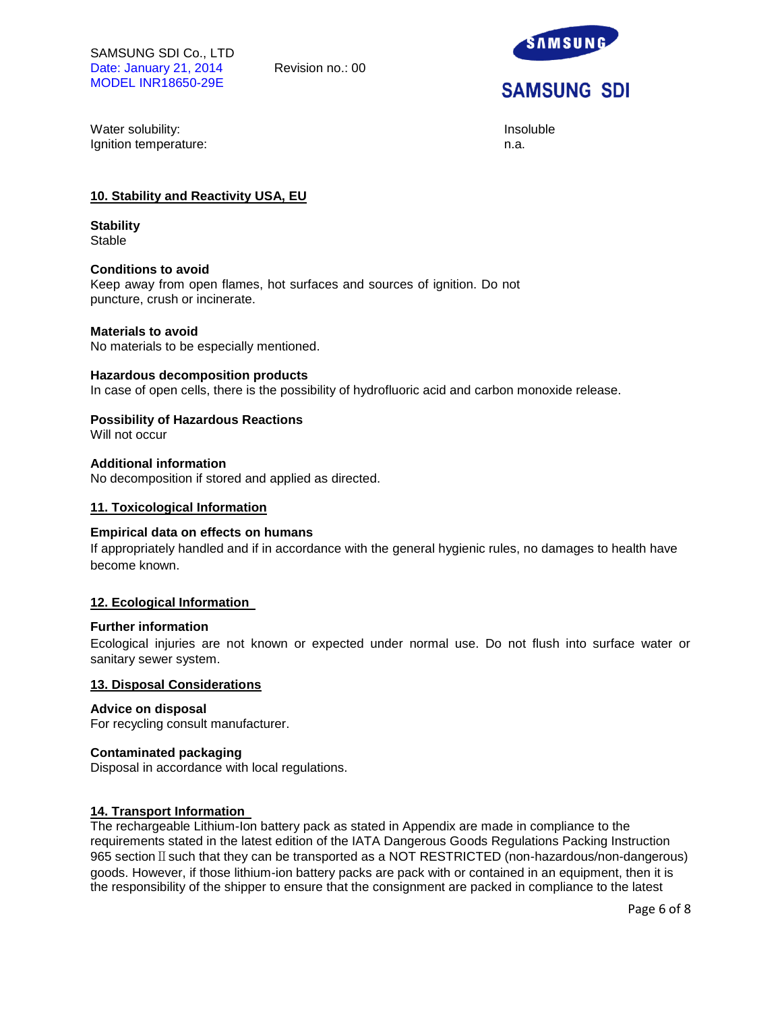

Water solubility: **Insolubility:** Insoluble Ignition temperature: n.a.

## **10. Stability and Reactivity USA, EU**

**Stability Stable** 

#### **Conditions to avoid**

Keep away from open flames, hot surfaces and sources of ignition. Do not puncture, crush or incinerate.

#### **Materials to avoid**

No materials to be especially mentioned.

#### **Hazardous decomposition products**

In case of open cells, there is the possibility of hydrofluoric acid and carbon monoxide release.

#### **Possibility of Hazardous Reactions**

Will not occur

## **Additional information**

No decomposition if stored and applied as directed.

## **11. Toxicological Information**

#### **Empirical data on effects on humans**

If appropriately handled and if in accordance with the general hygienic rules, no damages to health have become known.

#### **12. Ecological Information**

#### **Further information**

Ecological injuries are not known or expected under normal use. Do not flush into surface water or sanitary sewer system.

#### **13. Disposal Considerations**

#### **Advice on disposal**

For recycling consult manufacturer.

#### **Contaminated packaging**

Disposal in accordance with local regulations.

#### **14. Transport Information**

The rechargeable Lithium-Ion battery pack as stated in Appendix are made in compliance to the requirements stated in the latest edition of the IATA Dangerous Goods Regulations Packing Instruction 965 section II such that they can be transported as a NOT RESTRICTED (non-hazardous/non-dangerous) goods. However, if those lithium-ion battery packs are pack with or contained in an equipment, then it is the responsibility of the shipper to ensure that the consignment are packed in compliance to the latest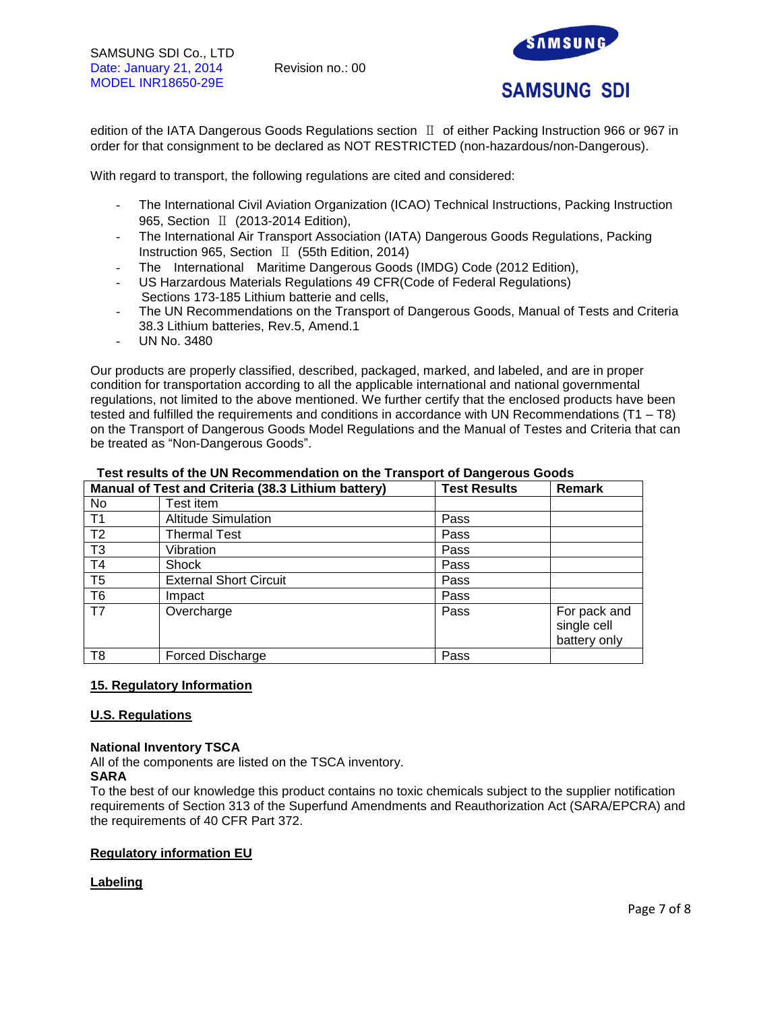

edition of the IATA Dangerous Goods Regulations section Ⅱ of either Packing Instruction 966 or 967 in order for that consignment to be declared as NOT RESTRICTED (non-hazardous/non-Dangerous).

With regard to transport, the following regulations are cited and considered:

- The International Civil Aviation Organization (ICAO) Technical Instructions, Packing Instruction 965, Section Ⅱ (2013-2014 Edition),
- The International Air Transport Association (IATA) Dangerous Goods Regulations, Packing Instruction 965, Section Ⅱ (55th Edition, 2014)
- The International Maritime Dangerous Goods (IMDG) Code (2012 Edition),
- US Harzardous Materials Regulations 49 CFR(Code of Federal Regulations) Sections 173-185 Lithium batterie and cells,
- The UN Recommendations on the Transport of Dangerous Goods, Manual of Tests and Criteria 38.3 Lithium batteries, Rev.5, Amend.1
- UN No. 3480

Our products are properly classified, described, packaged, marked, and labeled, and are in proper condition for transportation according to all the applicable international and national governmental regulations, not limited to the above mentioned. We further certify that the enclosed products have been tested and fulfilled the requirements and conditions in accordance with UN Recommendations (T1 – T8) on the Transport of Dangerous Goods Model Regulations and the Manual of Testes and Criteria that can be treated as "Non-Dangerous Goods".

|                | Manual of Test and Criteria (38.3 Lithium battery) | <b>Test Results</b> | <b>Remark</b>                               |
|----------------|----------------------------------------------------|---------------------|---------------------------------------------|
| No             | Test item                                          |                     |                                             |
| T <sub>1</sub> | <b>Altitude Simulation</b>                         | Pass                |                                             |
| T <sub>2</sub> | <b>Thermal Test</b>                                | Pass                |                                             |
| T <sub>3</sub> | Vibration                                          | Pass                |                                             |
| T <sub>4</sub> | Shock                                              | Pass                |                                             |
| T <sub>5</sub> | <b>External Short Circuit</b>                      | Pass                |                                             |
| T <sub>6</sub> | Impact                                             | Pass                |                                             |
| T <sub>7</sub> | Overcharge                                         | Pass                | For pack and<br>single cell<br>battery only |
| T <sub>8</sub> | <b>Forced Discharge</b>                            | Pass                |                                             |

## **Test results of the UN Recommendation on the Transport of Dangerous Goods**

## **15. Regulatory Information**

#### **U.S. Regulations**

#### **National Inventory TSCA**

All of the components are listed on the TSCA inventory.

#### **SARA**

To the best of our knowledge this product contains no toxic chemicals subject to the supplier notification requirements of Section 313 of the Superfund Amendments and Reauthorization Act (SARA/EPCRA) and the requirements of 40 CFR Part 372.

## **Regulatory information EU**

## **Labeling**